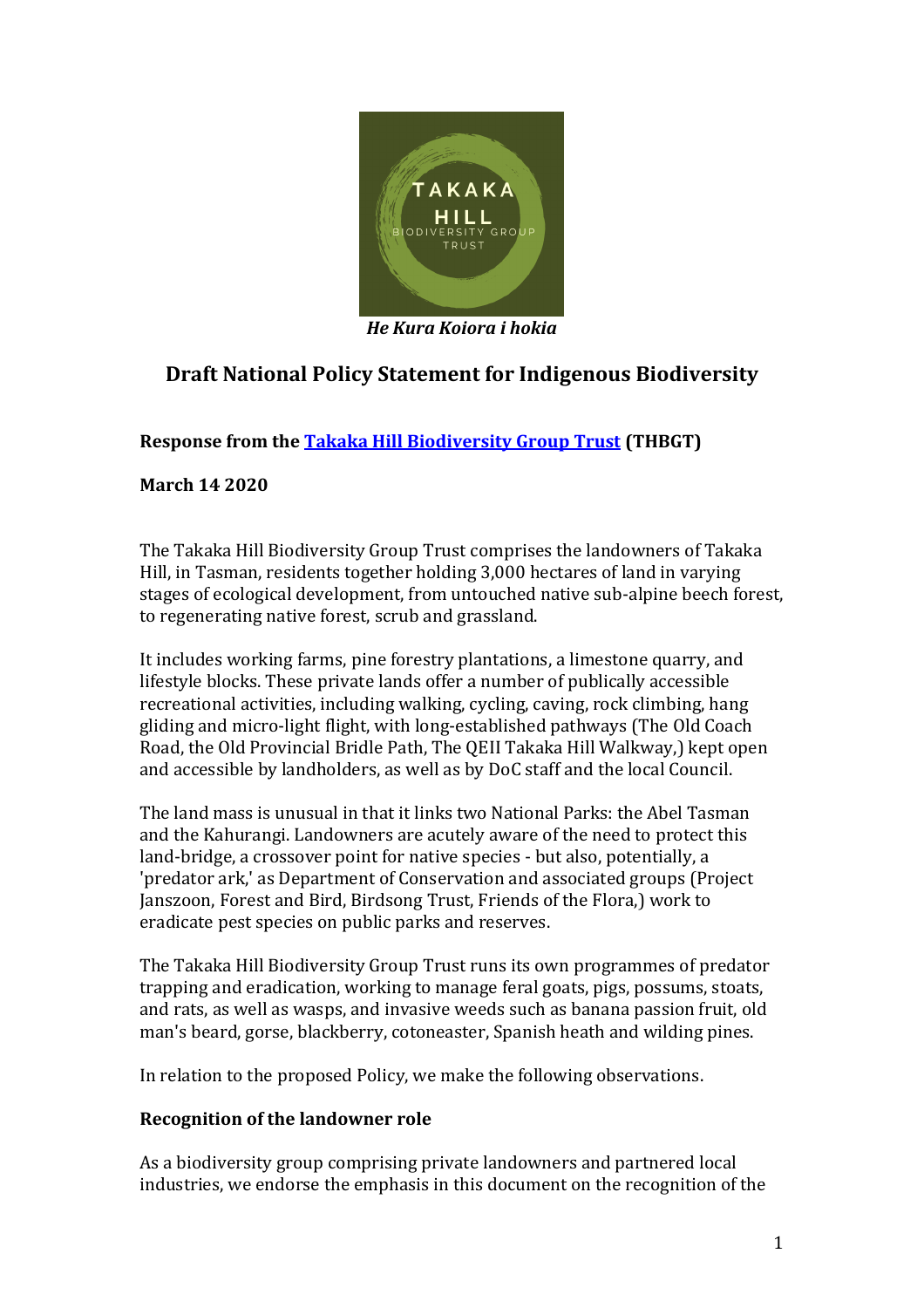

*He Kura Koiora i hokia*

# **Draft National Policy Statement for Indigenous Biodiversity**

**Response from th[e Takaka Hill Biodiversity Group Trust](https://www.takakahillbiodiversitygroup.nz/) (THBGT)**

**March 14 2020**

The Takaka Hill Biodiversity Group Trust comprises the landowners of Takaka Hill, in Tasman, residents together holding 3,000 hectares of land in varying stages of ecological development, from untouched native sub-alpine beech forest, to regenerating native forest, scrub and grassland.

It includes working farms, pine forestry plantations, a limestone quarry, and lifestyle blocks. These private lands offer a number of publically accessible recreational activities, including walking, cycling, caving, rock climbing, hang gliding and micro-light flight, with long-established pathways (The Old Coach Road, the Old Provincial Bridle Path, The QEII Takaka Hill Walkway,) kept open and accessible by landholders, as well as by DoC staff and the local Council.

The land mass is unusual in that it links two National Parks: the Abel Tasman and the Kahurangi. Landowners are acutely aware of the need to protect this land-bridge, a crossover point for native species - but also, potentially, a 'predator ark,' as Department of Conservation and associated groups (Project Janszoon, Forest and Bird, Birdsong Trust, Friends of the Flora,) work to eradicate pest species on public parks and reserves.

The Takaka Hill Biodiversity Group Trust runs its own programmes of predator trapping and eradication, working to manage feral goats, pigs, possums, stoats, and rats, as well as wasps, and invasive weeds such as banana passion fruit, old man's beard, gorse, blackberry, cotoneaster, Spanish heath and wilding pines.

In relation to the proposed Policy, we make the following observations.

# **Recognition of the landowner role**

As a biodiversity group comprising private landowners and partnered local industries, we endorse the emphasis in this document on the recognition of the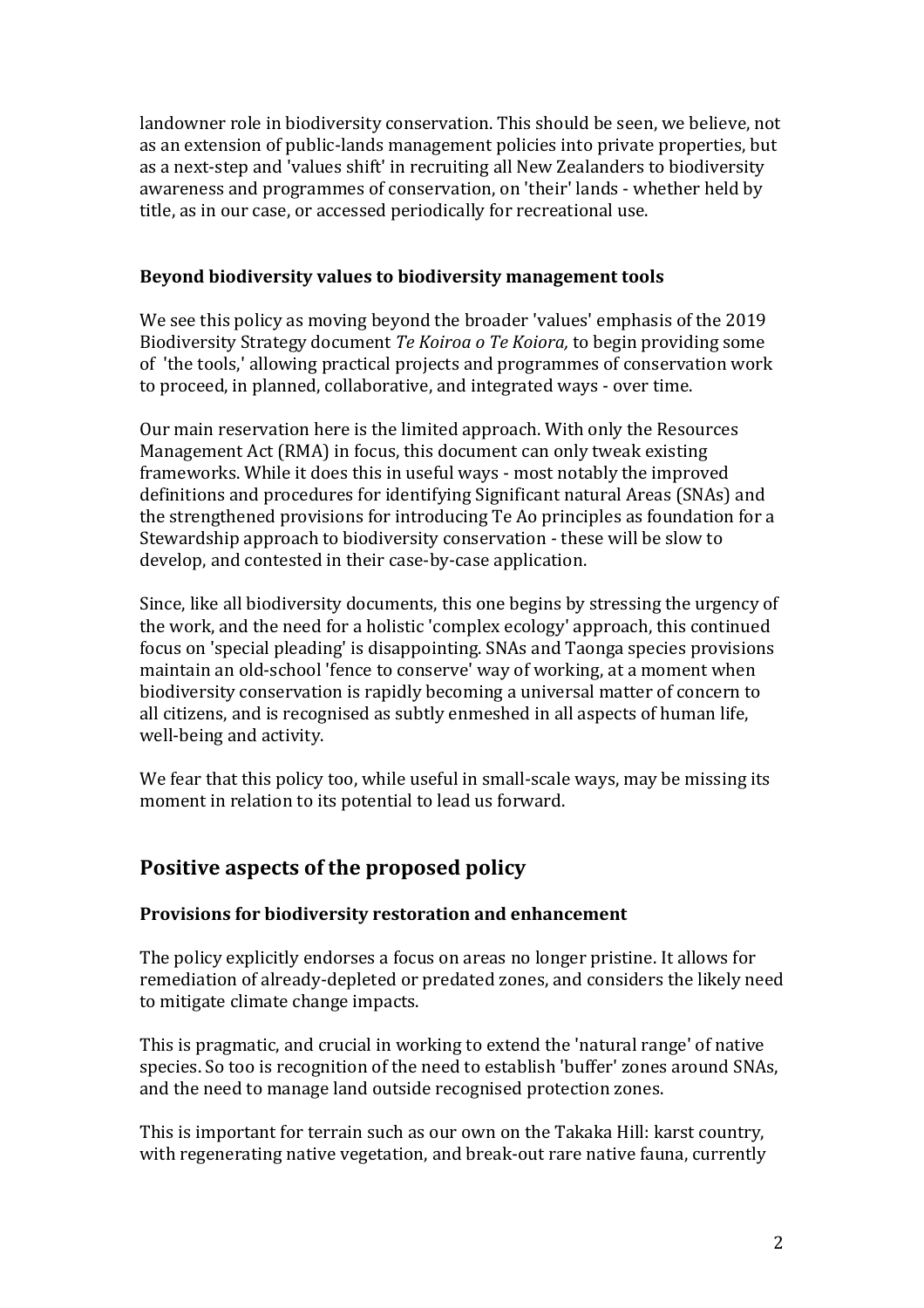landowner role in biodiversity conservation. This should be seen, we believe, not as an extension of public-lands management policies into private properties, but as a next-step and 'values shift' in recruiting all New Zealanders to biodiversity awareness and programmes of conservation, on 'their' lands - whether held by title, as in our case, or accessed periodically for recreational use.

#### **Beyond biodiversity values to biodiversity management tools**

We see this policy as moving beyond the broader 'values' emphasis of the 2019 Biodiversity Strategy document *Te Koiroa o Te Koiora,* to begin providing some of 'the tools,' allowing practical projects and programmes of conservation work to proceed, in planned, collaborative, and integrated ways - over time.

Our main reservation here is the limited approach. With only the Resources Management Act (RMA) in focus, this document can only tweak existing frameworks. While it does this in useful ways - most notably the improved definitions and procedures for identifying Significant natural Areas (SNAs) and the strengthened provisions for introducing Te Ao principles as foundation for a Stewardship approach to biodiversity conservation - these will be slow to develop, and contested in their case-by-case application.

Since, like all biodiversity documents, this one begins by stressing the urgency of the work, and the need for a holistic 'complex ecology' approach, this continued focus on 'special pleading' is disappointing. SNAs and Taonga species provisions maintain an old-school 'fence to conserve' way of working, at a moment when biodiversity conservation is rapidly becoming a universal matter of concern to all citizens, and is recognised as subtly enmeshed in all aspects of human life, well-being and activity.

We fear that this policy too, while useful in small-scale ways, may be missing its moment in relation to its potential to lead us forward.

# **Positive aspects of the proposed policy**

#### **Provisions for biodiversity restoration and enhancement**

The policy explicitly endorses a focus on areas no longer pristine. It allows for remediation of already-depleted or predated zones, and considers the likely need to mitigate climate change impacts.

This is pragmatic, and crucial in working to extend the 'natural range' of native species. So too is recognition of the need to establish 'buffer' zones around SNAs, and the need to manage land outside recognised protection zones.

This is important for terrain such as our own on the Takaka Hill: karst country, with regenerating native vegetation, and break-out rare native fauna, currently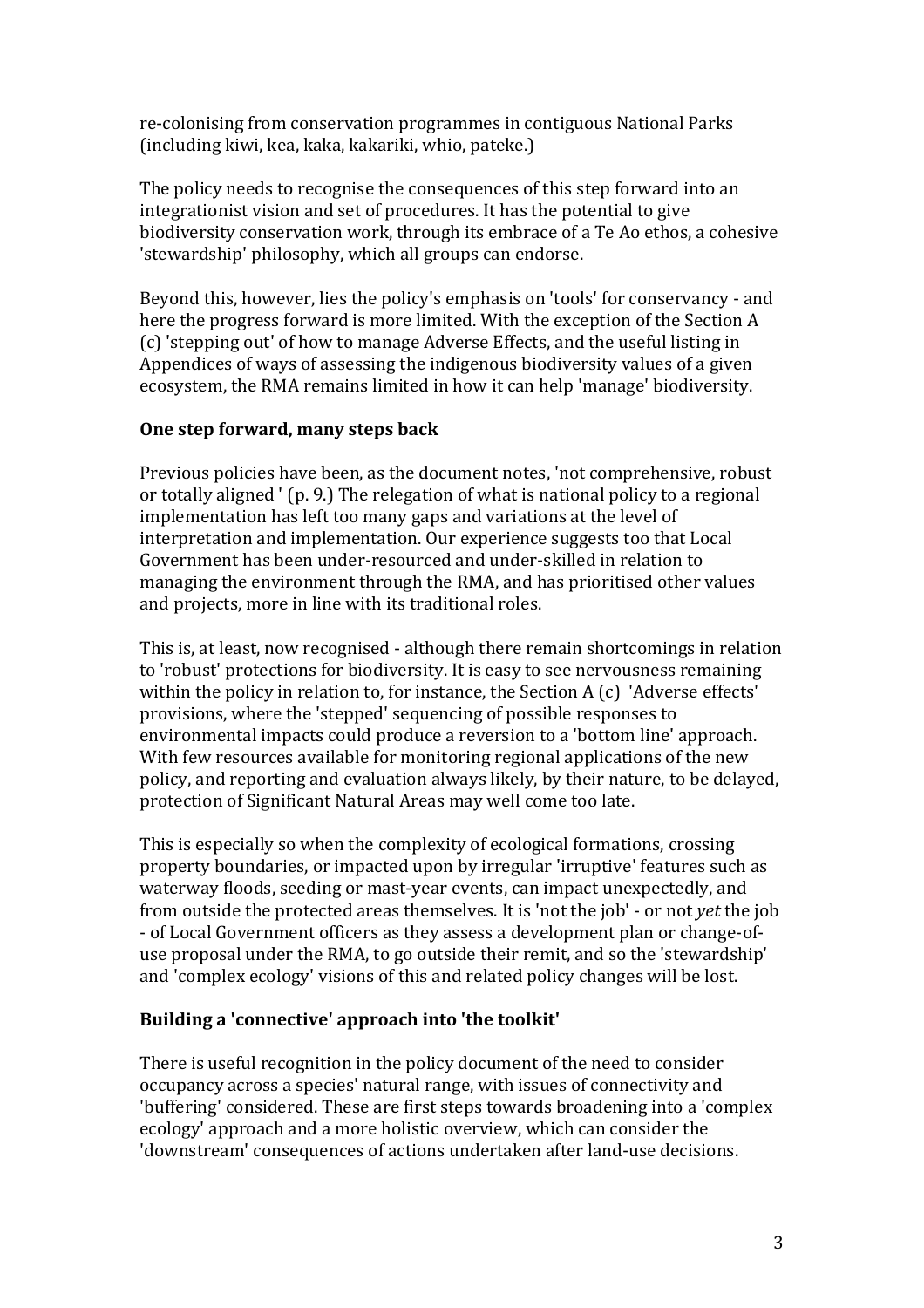re-colonising from conservation programmes in contiguous National Parks (including kiwi, kea, kaka, kakariki, whio, pateke.)

The policy needs to recognise the consequences of this step forward into an integrationist vision and set of procedures. It has the potential to give biodiversity conservation work, through its embrace of a Te Ao ethos, a cohesive 'stewardship' philosophy, which all groups can endorse.

Beyond this, however, lies the policy's emphasis on 'tools' for conservancy - and here the progress forward is more limited. With the exception of the Section A (c) 'stepping out' of how to manage Adverse Effects, and the useful listing in Appendices of ways of assessing the indigenous biodiversity values of a given ecosystem, the RMA remains limited in how it can help 'manage' biodiversity.

#### **One step forward, many steps back**

Previous policies have been, as the document notes, 'not comprehensive, robust or totally aligned ' (p. 9.) The relegation of what is national policy to a regional implementation has left too many gaps and variations at the level of interpretation and implementation. Our experience suggests too that Local Government has been under-resourced and under-skilled in relation to managing the environment through the RMA, and has prioritised other values and projects, more in line with its traditional roles.

This is, at least, now recognised - although there remain shortcomings in relation to 'robust' protections for biodiversity. It is easy to see nervousness remaining within the policy in relation to, for instance, the Section A (c) 'Adverse effects' provisions, where the 'stepped' sequencing of possible responses to environmental impacts could produce a reversion to a 'bottom line' approach. With few resources available for monitoring regional applications of the new policy, and reporting and evaluation always likely, by their nature, to be delayed, protection of Significant Natural Areas may well come too late.

This is especially so when the complexity of ecological formations, crossing property boundaries, or impacted upon by irregular 'irruptive' features such as waterway floods, seeding or mast-year events, can impact unexpectedly, and from outside the protected areas themselves. It is 'not the job' - or not *yet* the job - of Local Government officers as they assess a development plan or change-ofuse proposal under the RMA, to go outside their remit, and so the 'stewardship' and 'complex ecology' visions of this and related policy changes will be lost.

# **Building a 'connective' approach into 'the toolkit'**

There is useful recognition in the policy document of the need to consider occupancy across a species' natural range, with issues of connectivity and 'buffering' considered. These are first steps towards broadening into a 'complex ecology' approach and a more holistic overview, which can consider the 'downstream' consequences of actions undertaken after land-use decisions.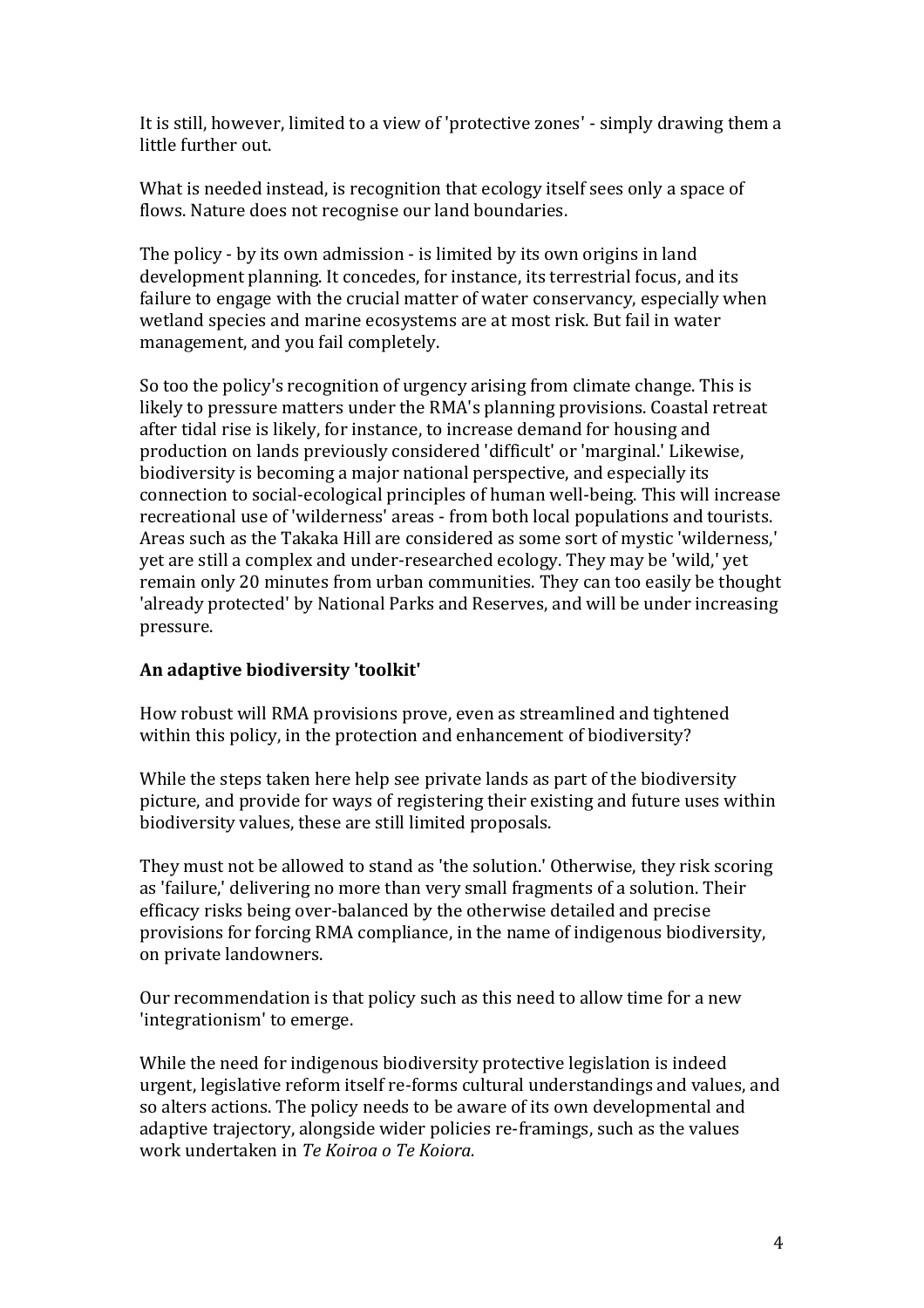It is still, however, limited to a view of 'protective zones' - simply drawing them a little further out.

What is needed instead, is recognition that ecology itself sees only a space of flows. Nature does not recognise our land boundaries.

The policy - by its own admission - is limited by its own origins in land development planning. It concedes, for instance, its terrestrial focus, and its failure to engage with the crucial matter of water conservancy, especially when wetland species and marine ecosystems are at most risk. But fail in water management, and you fail completely.

So too the policy's recognition of urgency arising from climate change. This is likely to pressure matters under the RMA's planning provisions. Coastal retreat after tidal rise is likely, for instance, to increase demand for housing and production on lands previously considered 'difficult' or 'marginal.' Likewise, biodiversity is becoming a major national perspective, and especially its connection to social-ecological principles of human well-being. This will increase recreational use of 'wilderness' areas - from both local populations and tourists. Areas such as the Takaka Hill are considered as some sort of mystic 'wilderness,' yet are still a complex and under-researched ecology. They may be 'wild,' yet remain only 20 minutes from urban communities. They can too easily be thought 'already protected' by National Parks and Reserves, and will be under increasing pressure.

# **An adaptive biodiversity 'toolkit'**

How robust will RMA provisions prove, even as streamlined and tightened within this policy, in the protection and enhancement of biodiversity?

While the steps taken here help see private lands as part of the biodiversity picture, and provide for ways of registering their existing and future uses within biodiversity values, these are still limited proposals.

They must not be allowed to stand as 'the solution.' Otherwise, they risk scoring as 'failure,' delivering no more than very small fragments of a solution. Their efficacy risks being over-balanced by the otherwise detailed and precise provisions for forcing RMA compliance, in the name of indigenous biodiversity, on private landowners.

Our recommendation is that policy such as this need to allow time for a new 'integrationism' to emerge.

While the need for indigenous biodiversity protective legislation is indeed urgent, legislative reform itself re-forms cultural understandings and values, and so alters actions. The policy needs to be aware of its own developmental and adaptive trajectory, alongside wider policies re-framings, such as the values work undertaken in *Te Koiroa o Te Koiora.*